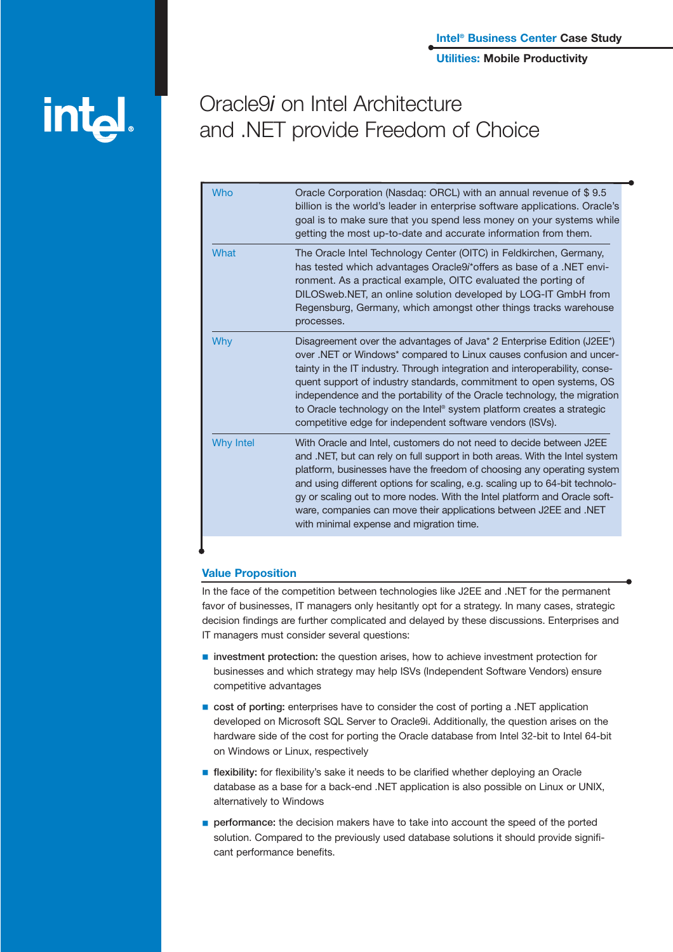**Utilities: Mobile Productivity** 

# **intal**

# Oracle9*i* on Intel Architecture and .NET provide Freedom of Choice

| <b>Who</b>       | Oracle Corporation (Nasdaq: ORCL) with an annual revenue of \$9.5<br>billion is the world's leader in enterprise software applications. Oracle's<br>goal is to make sure that you spend less money on your systems while<br>getting the most up-to-date and accurate information from them.                                                                                                                                                                                                                            |
|------------------|------------------------------------------------------------------------------------------------------------------------------------------------------------------------------------------------------------------------------------------------------------------------------------------------------------------------------------------------------------------------------------------------------------------------------------------------------------------------------------------------------------------------|
| What             | The Oracle Intel Technology Center (OITC) in Feldkirchen, Germany,<br>has tested which advantages Oracle9 r* offers as base of a .NET envi-<br>ronment. As a practical example, OITC evaluated the porting of<br>DILOSweb.NET, an online solution developed by LOG-IT GmbH from<br>Regensburg, Germany, which amongst other things tracks warehouse<br>processes.                                                                                                                                                      |
| Why              | Disagreement over the advantages of Java* 2 Enterprise Edition (J2EE*)<br>over .NET or Windows* compared to Linux causes confusion and uncer-<br>tainty in the IT industry. Through integration and interoperability, conse-<br>quent support of industry standards, commitment to open systems, OS<br>independence and the portability of the Oracle technology, the migration<br>to Oracle technology on the Intel® system platform creates a strategic<br>competitive edge for independent software vendors (ISVs). |
| <b>Why Intel</b> | With Oracle and Intel, customers do not need to decide between J2EE<br>and .NET, but can rely on full support in both areas. With the Intel system<br>platform, businesses have the freedom of choosing any operating system<br>and using different options for scaling, e.g. scaling up to 64-bit technolo-<br>gy or scaling out to more nodes. With the Intel platform and Oracle soft-<br>ware, companies can move their applications between J2EE and .NET<br>with minimal expense and migration time.             |
|                  |                                                                                                                                                                                                                                                                                                                                                                                                                                                                                                                        |

## **Value Proposition**

In the face of the competition between technologies like J2EE and .NET for the permanent favor of businesses, IT managers only hesitantly opt for a strategy. In many cases, strategic decision findings are further complicated and delayed by these discussions. Enterprises and IT managers must consider several questions:

- **investment protection:** the question arises, how to achieve investment protection for businesses and which strategy may help ISVs (Independent Software Vendors) ensure competitive advantages
- **cost of porting:** enterprises have to consider the cost of porting a .NET application developed on Microsoft SQL Server to Oracle9i. Additionally, the question arises on the hardware side of the cost for porting the Oracle database from Intel 32-bit to Intel 64-bit on Windows or Linux, respectively
- flexibility: for flexibility's sake it needs to be clarified whether deploying an Oracle database as a base for a back-end .NET application is also possible on Linux or UNIX, alternatively to Windows
- **P** performance: the decision makers have to take into account the speed of the ported solution. Compared to the previously used database solutions it should provide significant performance benefits.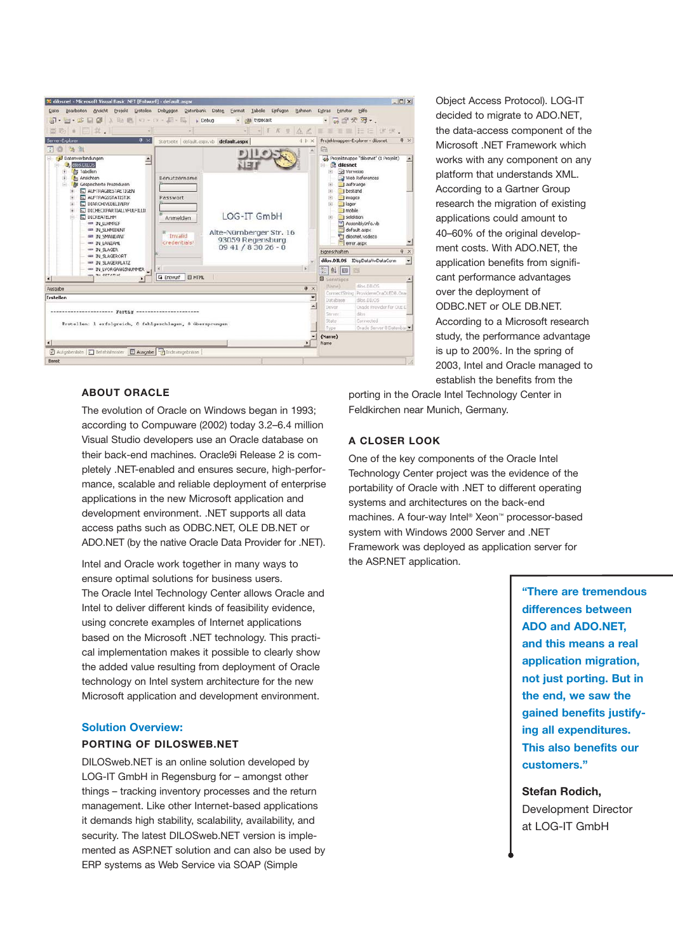

### **ABOUT ORACLE**

The evolution of Oracle on Windows began in 1993; according to Compuware (2002) today 3.2–6.4 million Visual Studio developers use an Oracle database on their back-end machines. Oracle9i Release 2 is completely .NET-enabled and ensures secure, high-performance, scalable and reliable deployment of enterprise applications in the new Microsoft application and development environment. .NET supports all data access paths such as ODBC.NET, OLE DB.NET or ADO.NET (by the native Oracle Data Provider for .NET).

Intel and Oracle work together in many ways to ensure optimal solutions for business users. The Oracle Intel Technology Center allows Oracle and Intel to deliver different kinds of feasibility evidence, using concrete examples of Internet applications based on the Microsoft .NET technology. This practical implementation makes it possible to clearly show the added value resulting from deployment of Oracle technology on Intel system architecture for the new Microsoft application and development environment.

#### **Solution Overview: PORTING OF DILOSWEB.NET**

DILOSweb.NET is an online solution developed by LOG-IT GmbH in Regensburg for – amongst other things – tracking inventory processes and the return management. Like other Internet-based applications it demands high stability, scalability, availability, and security. The latest DILOSweb.NET version is implemented as ASP.NET solution and can also be used by ERP systems as Web Service via SOAP (Simple

Object Access Protocol). LOG-IT decided to migrate to ADO.NET, the data-access component of the Microsoft .NET Framework which works with any component on any platform that understands XML. According to a Gartner Group research the migration of existing applications could amount to 40–60% of the original development costs. With ADO.NET, the application benefits from significant performance advantages over the deployment of ODBC.NET or OLE DB.NET. According to a Microsoft research study, the performance advantage is up to 200%. In the spring of 2003, Intel and Oracle managed to establish the benefits from the

porting in the Oracle Intel Technology Center in Feldkirchen near Munich, Germany.

#### **A CLOSER LOOK**

One of the key components of the Oracle Intel Technology Center project was the evidence of the portability of Oracle with .NET to different operating systems and architectures on the back-end machines. A four-way Intel® Xeon™ processor-based system with Windows 2000 Server and .NET Framework was deployed as application server for the ASP.NET application.

> **"There are tremendous differences between ADO and ADO.NET, and this means a real application migration, not just porting. But in the end, we saw the gained benefits justifying all expenditures. This also benefits our customers."**

**Stefan Rodich,** Development Director at LOG-IT GmbH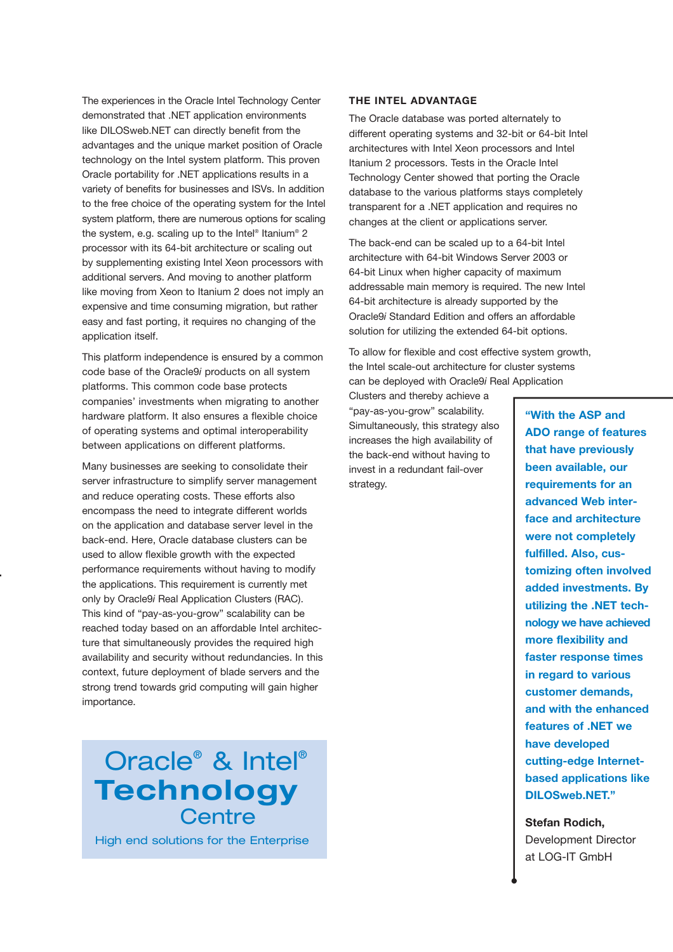The experiences in the Oracle Intel Technology Center demonstrated that .NET application environments like DILOSweb.NET can directly benefit from the advantages and the unique market position of Oracle technology on the Intel system platform. This proven Oracle portability for .NET applications results in a variety of benefits for businesses and ISVs. In addition to the free choice of the operating system for the Intel system platform, there are numerous options for scaling the system, e.g. scaling up to the Intel® Itanium® 2 processor with its 64-bit architecture or scaling out by supplementing existing Intel Xeon processors with additional servers. And moving to another platform like moving from Xeon to Itanium 2 does not imply an expensive and time consuming migration, but rather easy and fast porting, it requires no changing of the application itself.

This platform independence is ensured by a common code base of the Oracle9*i* products on all system platforms. This common code base protects companies' investments when migrating to another hardware platform. It also ensures a flexible choice of operating systems and optimal interoperability between applications on different platforms.

Many businesses are seeking to consolidate their server infrastructure to simplify server management and reduce operating costs. These efforts also encompass the need to integrate different worlds on the application and database server level in the back-end. Here, Oracle database clusters can be used to allow flexible growth with the expected performance requirements without having to modify the applications. This requirement is currently met only by Oracle9*i* Real Application Clusters (RAC). This kind of "pay-as-you-grow" scalability can be reached today based on an affordable Intel architecture that simultaneously provides the required high availability and security without redundancies. In this context, future deployment of blade servers and the strong trend towards grid computing will gain higher importance.

Oracle<sup>®</sup> & Intel<sup>®</sup> **Technology Centre** 

High end solutions for the Enterprise

#### **THE INTEL ADVANTAGE**

The Oracle database was ported alternately to different operating systems and 32-bit or 64-bit Intel architectures with Intel Xeon processors and Intel Itanium 2 processors. Tests in the Oracle Intel Technology Center showed that porting the Oracle database to the various platforms stays completely transparent for a .NET application and requires no changes at the client or applications server.

The back-end can be scaled up to a 64-bit Intel architecture with 64-bit Windows Server 2003 or 64-bit Linux when higher capacity of maximum addressable main memory is required. The new Intel 64-bit architecture is already supported by the Oracle9*i* Standard Edition and offers an affordable solution for utilizing the extended 64-bit options.

To allow for flexible and cost effective system growth, the Intel scale-out architecture for cluster systems can be deployed with Oracle9*i* Real Application

Clusters and thereby achieve a "pay-as-you-grow" scalability. Simultaneously, this strategy also increases the high availability of the back-end without having to invest in a redundant fail-over strategy.

**"With the ASP and ADO range of features that have previously been available, our requirements for an advanced Web interface and architecture were not completely fulfilled. Also, customizing often involved added investments. By utilizing the .NET technology we have achieved more flexibility and faster response times in regard to various customer demands, and with the enhanced features of .NET we have developed cutting-edge Internetbased applications like DILOSweb.NET."**

**Stefan Rodich,** Development Director at LOG-IT GmbH